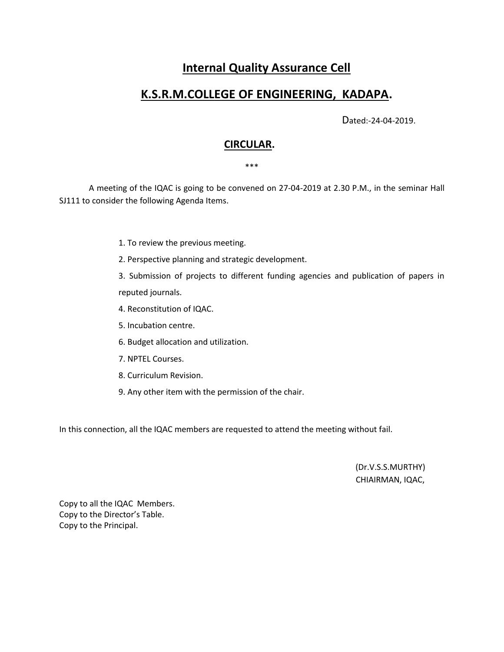# **Internal Quality Assurance Cell**

# **K.S.R.M.COLLEGE OF ENGINEERING, KADAPA.**

Dated:-24-04-2019.

# **CIRCULAR.**

### \*\*\*

 A meeting of the IQAC is going to be convened on 27-04-2019 at 2.30 P.M., in the seminar Hall SJ111 to consider the following Agenda Items.

- 1. To review the previous meeting.
- 2. Perspective planning and strategic development.
- 3. Submission of projects to different funding agencies and publication of papers in reputed journals.
- 4. Reconstitution of IQAC.
- 5. Incubation centre.
- 6. Budget allocation and utilization.
- 7. NPTEL Courses.
- 8. Curriculum Revision.
- 9. Any other item with the permission of the chair.

In this connection, all the IQAC members are requested to attend the meeting without fail.

(Dr.V.S.S.MURTHY) CHIAIRMAN, IQAC,

Copy to all the IQAC Members. Copy to the Director's Table. Copy to the Principal.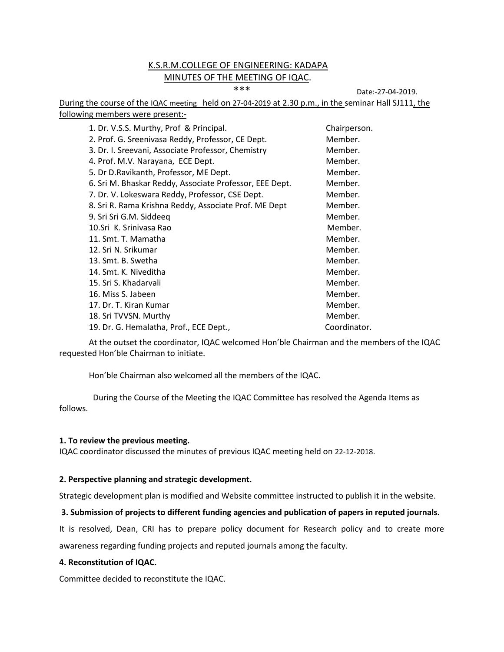# K.S.R.M.COLLEGE OF ENGINEERING: KADAPA MINUTES OF THE MEETING OF IQAC.

\*\*\* Date:-27-04-2019.

During the course of the IQAC meeting held on 27-04-2019 at 2.30 p.m., in the seminar Hall SJ111, the following members were present:-

| 1. Dr. V.S.S. Murthy, Prof & Principal.                 | Chairperson. |
|---------------------------------------------------------|--------------|
| 2. Prof. G. Sreenivasa Reddy, Professor, CE Dept.       | Member.      |
| 3. Dr. I. Sreevani, Associate Professor, Chemistry      | Member.      |
| 4. Prof. M.V. Narayana, ECE Dept.                       | Member.      |
| 5. Dr D. Ravikanth, Professor, ME Dept.                 | Member.      |
| 6. Sri M. Bhaskar Reddy, Associate Professor, EEE Dept. | Member.      |
| 7. Dr. V. Lokeswara Reddy, Professor, CSE Dept.         | Member.      |
| 8. Sri R. Rama Krishna Reddy, Associate Prof. ME Dept   | Member.      |
| 9. Sri Sri G.M. Siddeeq                                 | Member.      |
| 10.Sri K. Sriniyasa Rao                                 | Member.      |
| 11. Smt. T. Mamatha                                     | Member.      |
| 12. Sri N. Srikumar                                     | Member.      |
| 13. Smt. B. Swetha                                      | Member.      |
| 14. Smt. K. Niveditha                                   | Member.      |
| 15. Sri S. Khadarvali                                   | Member.      |
| 16. Miss S. Jabeen                                      | Member.      |
| 17. Dr. T. Kiran Kumar                                  | Member.      |
| 18. Sri TVVSN. Murthy                                   | Member.      |
| 19. Dr. G. Hemalatha, Prof., ECE Dept.,                 | Coordinator. |

At the outset the coordinator, IQAC welcomed Hon'ble Chairman and the members of the IQAC requested Hon'ble Chairman to initiate.

Hon'ble Chairman also welcomed all the members of the IQAC.

 During the Course of the Meeting the IQAC Committee has resolved the Agenda Items as follows.

#### **1. To review the previous meeting.**

IQAC coordinator discussed the minutes of previous IQAC meeting held on 22-12-2018.

#### **2. Perspective planning and strategic development.**

Strategic development plan is modified and Website committee instructed to publish it in the website.

# **3. Submission of projects to different funding agencies and publication of papers in reputed journals.**

It is resolved, Dean, CRI has to prepare policy document for Research policy and to create more awareness regarding funding projects and reputed journals among the faculty.

# **4. Reconstitution of IQAC.**

Committee decided to reconstitute the IQAC.